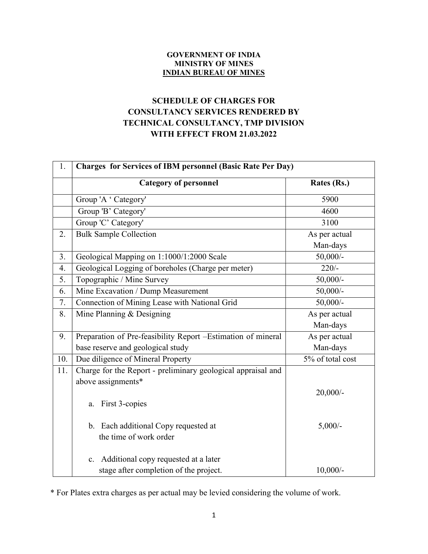## GOVERNMENT OF INDIA MINISTRY OF MINES INDIAN BUREAU OF MINES

## SCHEDULE OF CHARGES FOR CONSULTANCY SERVICES RENDERED BY TECHNICAL CONSULTANCY, TMP DIVISION WITH EFFECT FROM 21.03.2022

| 1.  | <b>Charges for Services of IBM personnel (Basic Rate Per Day)</b> |                    |
|-----|-------------------------------------------------------------------|--------------------|
|     | <b>Category of personnel</b>                                      | Rates (Rs.)        |
|     | Group 'A ' Category'                                              | 5900               |
|     | Group 'B' Category'                                               | 4600               |
|     | Group 'C' Category'                                               | 3100               |
| 2.  | <b>Bulk Sample Collection</b>                                     | As per actual      |
|     |                                                                   | Man-days           |
| 3.  | Geological Mapping on 1:1000/1:2000 Scale                         | $50,000/-$         |
| 4.  | Geological Logging of boreholes (Charge per meter)                | $\overline{220/-}$ |
| 5.  | Topographic / Mine Survey                                         | $50,000/$ -        |
| 6.  | Mine Excavation / Dump Measurement                                | $50,000/-$         |
| 7.  | Connection of Mining Lease with National Grid                     | $50,000/-$         |
| 8.  | Mine Planning & Designing                                         | As per actual      |
|     |                                                                   | Man-days           |
| 9.  | Preparation of Pre-feasibility Report -Estimation of mineral      | As per actual      |
|     | base reserve and geological study                                 | Man-days           |
| 10. | Due diligence of Mineral Property                                 | 5% of total cost   |
| 11. | Charge for the Report - preliminary geological appraisal and      |                    |
|     | above assignments*                                                |                    |
|     |                                                                   | $20,000/$ -        |
|     | a. First 3-copies                                                 |                    |
|     |                                                                   |                    |
|     | b. Each additional Copy requested at                              | $5,000/-$          |
|     | the time of work order                                            |                    |
|     | Additional copy requested at a later<br>$c_{\cdot}$               |                    |
|     | stage after completion of the project.                            | $10,000/-$         |

\* For Plates extra charges as per actual may be levied considering the volume of work.